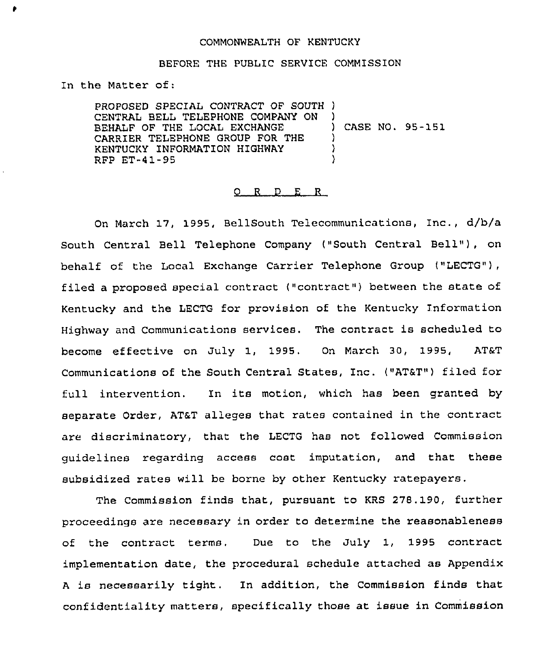## COMMONWEALTH OF KENTUCKY

## BEFORE THE PUBLIC SERVICE COMMISSION

In the Matter of:

PROPOSED SPECIAL CONTRACT OF SOUTH ) CENTRAL BELL TELEPHONE COMPANY ON BEHALF OF THE LOCAL EXCHANGE CARRIER TELEPHONE GROUP FOR THE KENTUCKY INFORMATION HIGHWAY RFP ET-41-95 ) ) CASE NO. 95-151 ) ) )

### 0 R <sup>D</sup> E <sup>R</sup>

On March 17, 1995, BellSouth Telecommunications, Inc., d/b/a South Central Bell Telephone Company ("South Central Bell"), on behalf of the Local Exchange Carrier Telephone Group ("LECTG"), filed a proposed special contract ("contract") between the state of Kentucky and the LECTG for provision of the Kentucky Information Highway and Communications services. The contract is scheduled to become effective on July 1, 1995. On March 30, 1995, AT6T Communications of the South Central States, Inc. ("AT6T") filed for full intervention. In its motion, which has been granted by separate Order, AT&T alleges that rates contained in the contract are discriminatory, that the LECTG has not followed Commission guidelines regarding access cost imputation, and that these subsidized rates will be borne by other Kentucky ratepayers.

The Commission finds that, pursuant to KRS 278.190, further proceedings are necessary in order to determine the reasonableness of the contract terms. Due to the July 1, 1995 contract implementation date, the procedural schedule attached as Appendix <sup>A</sup> is necessarily tight, In addition, the Commission finds that confidentiality matters, specifically those at issue in Commission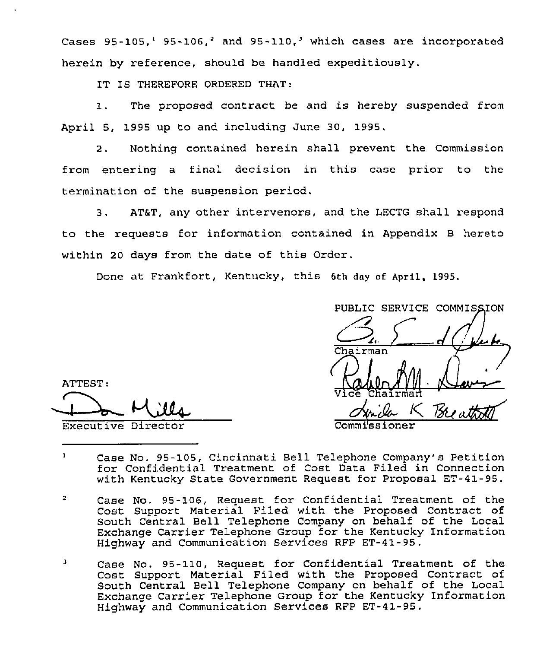Cases  $95-105$ ,<sup>1</sup>  $95-106$ ,<sup>2</sup> and  $95-110$ ,<sup>1</sup> which cases are incorporated herein by reference, should be handled expeditiously.

IT IS THEREFORE ORDERED THAT:

1. The proposed contract be and is hereby suspended from April 5, 1995 up to and including June 30, 1995.

2. Nothing contained herein shall prevent the Commission from entering a final decision in this case prior to the termination of the suspension period.

3. AT&T, any other intervenors, and the LECTG shall respond to the requests for information contained in Appendix B hereto within 20 days from the date of this Order.

Done at Frankfort, Kentucky, this 6th day of April, 1995.

PUBLIC SERVICE COMMISSION  $\overline{\mathbf{r}}$ Chairman 11 - Relauser<br>15 - Breathold<br>15 - Breathold Vice Chairma Commissione

ATTEST: Don Mills

- $\mathbf{1}$ Case No. 95-105, Cincinnati Bell Telephone Company's Petition for Confidential Treatment of Cost Data Filed in Connection with Kentucky State Government Request for Proposal ET-41-95.
- $\overline{2}$ Case No. 95-106, Request for Confidential Treatment of the Cost Support Material Filed with the Proposed Contract of South Central Bell Telephone Company on behalf of the Local Exchange Carrier Telephone Group for the Kentucky Information Highway and Communication Services RFP ET-41-95.
- $\mathbf{J}$ Case No. 95-110, Request for Confidential Treatment of the Cost Support Material Filed with the Proposed Contract of South Central Bell Telephone Company on behalf of the Local Exchange Carrier Telephone Group for the Kentucky Information Highway and Communication Services RFP ET-41-95.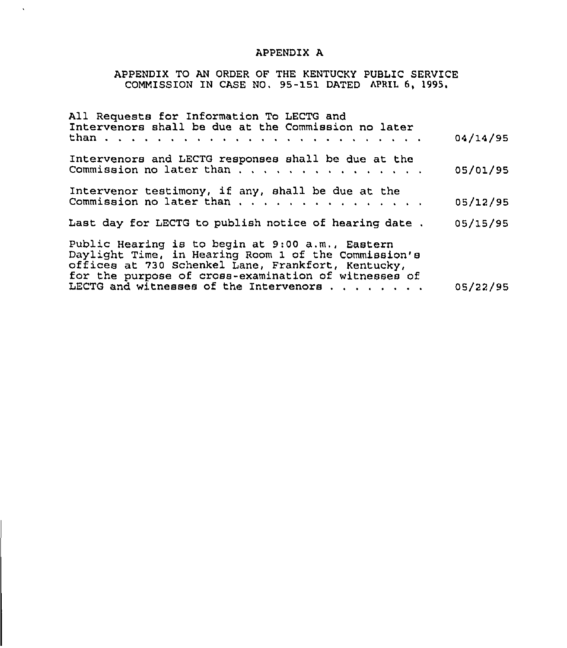## APPENDIX A

 $\mathbf{x}$ 

# APPENDIX TO AN ORDER OF THE KENTUCKY PUBLIC SERVICE COMMISSION IN CASE NO. 95-151 DATED APRIL 6, 1995<sup>~</sup>

| All Requests for Information To LECTG and<br>Intervenors shall be due at the Commission no later                                                                                                                       |          |
|------------------------------------------------------------------------------------------------------------------------------------------------------------------------------------------------------------------------|----------|
|                                                                                                                                                                                                                        | 04/14/95 |
| Intervenors and LECTG responses shall be due at the                                                                                                                                                                    | 05/01/95 |
| Intervenor testimony, if any, shall be due at the                                                                                                                                                                      | 05/12/95 |
| Last day for LECTG to publish notice of hearing date.                                                                                                                                                                  | 05/15/95 |
| Public Hearing is to begin at 9:00 a.m., Eastern<br>Daylight Time, in Hearing Room 1 of the Commission's<br>offices at 730 Schenkel Lane, Frankfort, Kentucky,<br>for the purpose of cross-examination of witnesses of |          |
| LECTG and witnesses of the Intervenors                                                                                                                                                                                 | 05/22/95 |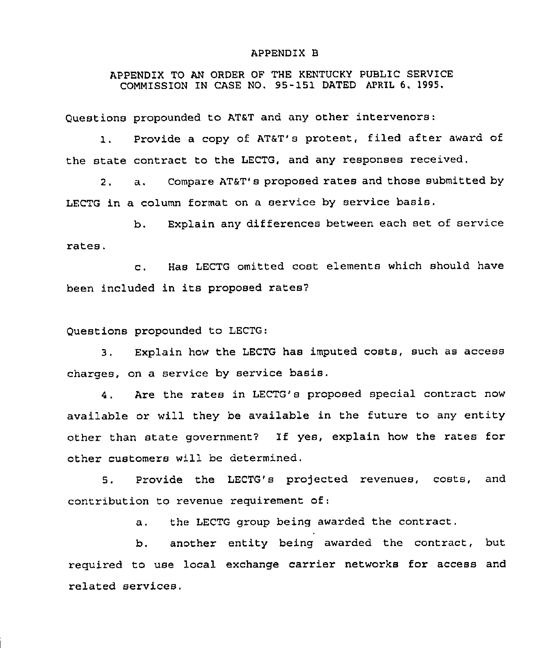#### APPENDIX B

## APPENDIX TO AN ORDER OF THE KENTUCKY PUBLIC SERVICE COMMISSION IN CASE NO. 95-151 DATED APRIL 6, 1995.

Questions propounded to AT&T and any other intervenors:

1. Provide a copy of AT&T's protest, filed after award of the state contract to the LECTG, and any responses received.

2. a. Compare AT6T's proposed rates and those submitted by LECTG in a column format on <sup>a</sup> service by service basis.

b. Explain any differences between each set of service rates.

c. Has LECTG omitted cost elements which should have been included in its proposed rates?

Questions propounded to LECTG:

3. Explain how the LECTG has imputed costs, such as access charges, on a service by service basis.

4. Are the rates in LECTG's proposed special contract now available or will they be available in the future to any entity other than state government? If yes, explain how the rates for other customers will be determined.

5. Provide the LECTG's projected revenues, costs, and contribution to revenue requirement of:

a. the LECTG group being awarded the contract.

b. another entity being awarded the contract, but required to use local exchange carrier networks for access and related services.